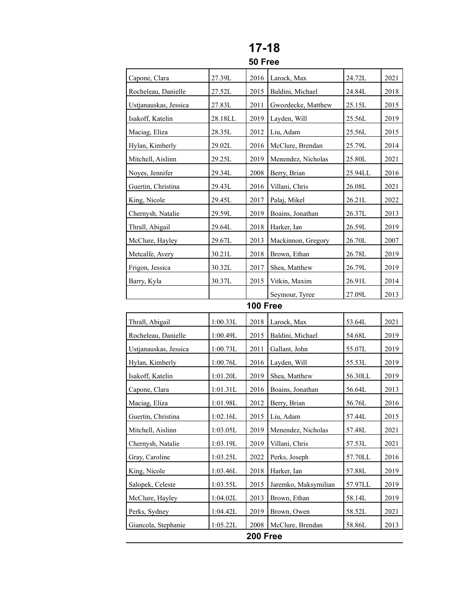|                       |          | 17-18<br>50 Free |                    |         |      |
|-----------------------|----------|------------------|--------------------|---------|------|
| Capone, Clara         | 27.39L   | 2016             | Larock, Max        | 24.72L  | 2021 |
| Rocheleau, Danielle   | 27.52L   | 2015             | Baldini, Michael   | 24.84L  | 2018 |
| Ustjanauskas, Jessica | 27.83L   | 2011             | Gwozdecke, Matthew | 25.15L  | 2015 |
| Isakoff, Katelin      | 28.18LL  | 2019             | Layden, Will       | 25.56L  | 2019 |
| Maciag, Eliza         | 28.35L   | 2012             | Liu, Adam          | 25.56L  | 2015 |
| Hylan, Kimberly       | 29.02L   | 2016             | McClure, Brendan   | 25.79L  | 2014 |
| Mitchell, Aislinn     | 29.25L   | 2019             | Menendez, Nicholas | 25.80L  | 2021 |
| Noyes, Jennifer       | 29.34L   | 2008             | Berry, Brian       | 25.94LL | 2016 |
| Guertin, Christina    | 29.43L   | 2016             | Villani, Chris     | 26.08L  | 2021 |
| King, Nicole          | 29.45L   | 2017             | Palaj, Mikel       | 26.21L  | 2022 |
| Chernysh, Natalie     | 29.59L   | 2019             | Boains, Jonathan   | 26.37L  | 2013 |
| Thrall, Abigail       | 29.64L   | 2018             | Harker, Ian        | 26.59L  | 2019 |
| McClure, Hayley       | 29.67L   | 2013             | Mackinnon, Gregory | 26.70L  | 2007 |
| Metcalfe, Avery       | 30.21L   | 2018             | Brown, Ethan       | 26.78L  | 2019 |
| Frigon, Jessica       | 30.32L   | 2017             | Shea, Matthew      | 26.79L  | 2019 |
| Barry, Kyla           | 30.37L   | 2015             | Vitkin, Maxim      | 26.91L  | 2014 |
|                       |          |                  | Seymour, Tyree     | 27.09L  | 2013 |
|                       |          | <b>100 Free</b>  |                    |         |      |
| Thrall, Abigail       | 1:00.33L | 2018             | Larock, Max        | 53.64L  | 2021 |
| Rocheleau, Danielle   | 1:00.49L | 2015             | Baldini, Michael   | 54.68L  | 2019 |
| Ustjanauskas, Jessica | 1:00.73L | 2011             | Gallant, John      | 55.07L  | 2019 |
| Hylan, Kimberly       | 1:00.76L | 2016             | Layden, Will       | 55.53L  | 2019 |
| Isakoff, Katelin      | 1:01.20L | 2019             | Shea, Matthew      | 56.30LL | 2019 |
| Capone, Clara         | 1:01.31L | 2016             | Boains, Jonathan   | 56.64L  | 2013 |
| Maciag, Eliza         | 1:01.98L | 2012             | Berry, Brian       | 56.76L  | 2016 |

Guertin, Christina 1:02.16L 2015 Liu, Adam 57.44L 2015 Mitchell, Aislinn 1:03.05L 2019 Menendez, Nicholas 57.48L 2021 Chernysh, Natalie 1:03.19L 2019 Villani, Chris 57.53L 2021 Gray, Caroline 1:03.25L 2022 Perks, Joseph 57.70LL 2016 King, Nicole 1:03.46L 2018 Harker, Ian 57.88L 2019 Salopek, Celeste | 1:03.55L | 2015 | Jaremko, Maksymilian | 57.97LL | 2019 McClure, Hayley 1:04.02L 2013 Brown, Ethan 58.14L 2019 Perks, Sydney 1:04.42L 2019 Brown, Owen 58.52L 2021 Giancola, Stephanie 1:05.22L 2008 McClure, Brendan 58.86L 2013 **200 Free**

## **17-18**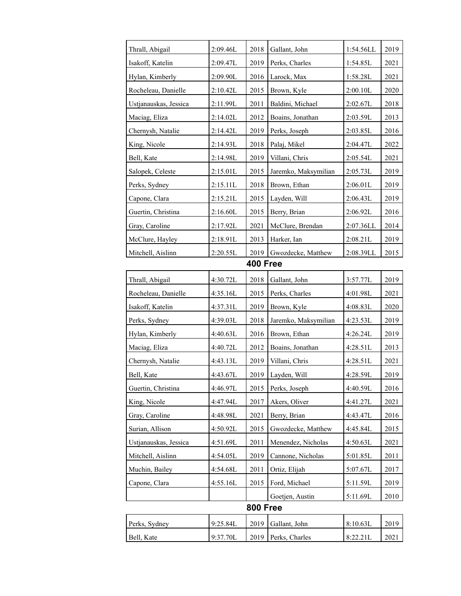| Thrall, Abigail       | 2:09.46L | 2018            | Gallant, John        | 1:54.56LL | 2019     |
|-----------------------|----------|-----------------|----------------------|-----------|----------|
| Isakoff, Katelin      | 2:09.47L | 2019            | Perks, Charles       | 1:54.85L  | 2021     |
| Hylan, Kimberly       | 2:09.90L | 2016            | Larock, Max          | 1:58.28L  | 2021     |
| Rocheleau, Danielle   | 2:10.42L | 2015            | Brown, Kyle          | 2:00.10L  | 2020     |
| Ustjanauskas, Jessica | 2:11.99L | 2011            | Baldini, Michael     | 2:02.67L  | 2018     |
| Maciag, Eliza         | 2:14.02L | 2012            | Boains, Jonathan     | 2:03.59L  | 2013     |
| Chernysh, Natalie     | 2:14.42L | 2019            | Perks, Joseph        | 2:03.85L  | 2016     |
| King, Nicole          | 2:14.93L | 2018            | Palaj, Mikel         | 2:04.47L  | 2022     |
| Bell, Kate            | 2:14.98L | 2019            | Villani, Chris       | 2:05.54L  | 2021     |
| Salopek, Celeste      | 2:15.01L | 2015            | Jaremko, Maksymilian | 2:05.73L  | 2019     |
| Perks, Sydney         | 2:15.11L | 2018            | Brown, Ethan         | 2:06.01L  | 2019     |
| Capone, Clara         | 2:15.21L | 2015            | Layden, Will         | 2:06.43L  | 2019     |
| Guertin, Christina    | 2:16.60L | 2015            | Berry, Brian         | 2:06.92L  | 2016     |
| Gray, Caroline        | 2:17.92L | 2021            | McClure, Brendan     | 2:07.36LL | 2014     |
| McClure, Hayley       | 2:18.91L | 2013            | Harker, Ian          | 2:08.21L  | 2019     |
| Mitchell, Aislinn     | 2:20.55L | 2019            | Gwozdecke, Matthew   | 2:08.39LL | 2015     |
|                       |          | <b>400 Free</b> |                      |           |          |
| Thrall, Abigail       | 4:30.72L | 2018            | Gallant, John        | 3:57.77L  | 2019     |
| Rocheleau, Danielle   | 4:35.16L | 2015            | Perks, Charles       | 4:01.98L  | 2021     |
| Isakoff, Katelin      | 4:37.31L | 2019            | Brown, Kyle          | 4:08.83L  | 2020     |
| Perks, Sydney         | 4:39.03L | 2018            | Jaremko, Maksymilian | 4:23.53L  | 2019     |
| Hylan, Kimberly       | 4:40.63L | 2016            | Brown, Ethan         | 4:26.24L  | 2019     |
| Maciag, Eliza         | 4:40.72L | 2012            | Boains, Jonathan     | 4:28.51L  | 2013     |
| Chernysh, Natalie     | 4:43.13L | 2019            | Villani, Chris       | 4:28.51L  | 2021     |
| Bell. Kate            | 4:43.67L |                 | $2019$ Layden, Will  | 4:28.59L  | 2019     |
| Guertin, Christina    | 4:46.97L | 2015            | Perks, Joseph        | 4:40.59L  | 2016     |
| King, Nicole          | 4:47.94L | 2017            | Akers, Oliver        | 4:41.27L  | 2021     |
| Gray, Caroline        | 4:48.98L | 2021            | Berry, Brian         | 4:43.47L  | 2016     |
| Surian, Allison       | 4:50.92L | 2015            | Gwozdecke, Matthew   | 4:45.84L  | 2015     |
| Ustjanauskas, Jessica | 4:51.69L | 2011            | Menendez, Nicholas   | 4:50.63L  | 2021     |
| Mitchell, Aislinn     | 4:54.05L | 2019            | Cannone, Nicholas    | 5:01.85L  | 2011     |
| Muchin, Bailey        | 4:54.68L | 2011            | Ortiz, Elijah        | 5:07.67L  | 2017     |
| Capone, Clara         | 4:55.16L | 2015            | Ford, Michael        | 5:11.59L  | 2019     |
|                       |          |                 | Goetjen, Austin      | 5:11.69L  | $2010\,$ |
|                       |          | <b>800 Free</b> |                      |           |          |
| Perks, Sydney         | 9:25.84L | 2019            | Gallant, John        | 8:10.63L  | 2019     |
| Bell, Kate            | 9:37.70L | 2019            | Perks, Charles       | 8:22.21L  | 2021     |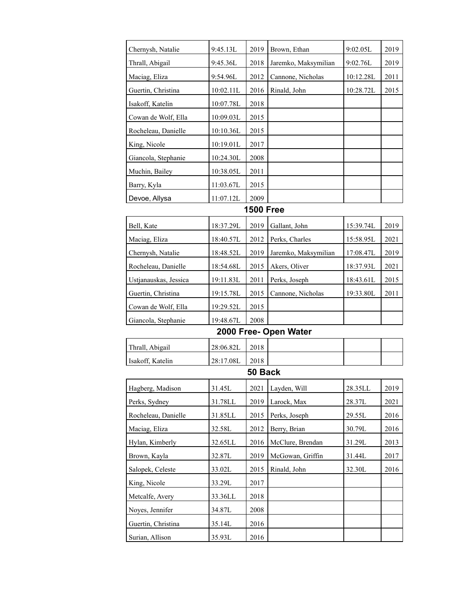| Chernysh, Natalie     | 9:45.13L  | 2019    | Brown, Ethan          | 9:02.05L  | 2019 |  |  |  |  |  |
|-----------------------|-----------|---------|-----------------------|-----------|------|--|--|--|--|--|
| Thrall, Abigail       | 9:45.36L  | 2018    | Jaremko, Maksymilian  | 9:02.76L  | 2019 |  |  |  |  |  |
| Maciag, Eliza         | 9:54.96L  | 2012    | Cannone, Nicholas     | 10:12.28L | 2011 |  |  |  |  |  |
| Guertin, Christina    | 10:02.11L | 2016    | Rinald, John          | 10:28.72L | 2015 |  |  |  |  |  |
| Isakoff, Katelin      | 10:07.78L | 2018    |                       |           |      |  |  |  |  |  |
| Cowan de Wolf, Ella   | 10:09.03L | 2015    |                       |           |      |  |  |  |  |  |
| Rocheleau, Danielle   | 10:10.36L | 2015    |                       |           |      |  |  |  |  |  |
| King, Nicole          | 10:19.01L | 2017    |                       |           |      |  |  |  |  |  |
| Giancola, Stephanie   | 10:24.30L | 2008    |                       |           |      |  |  |  |  |  |
| Muchin, Bailey        | 10:38.05L | 2011    |                       |           |      |  |  |  |  |  |
| Barry, Kyla           | 11:03.67L | 2015    |                       |           |      |  |  |  |  |  |
| Devoe, Allysa         | 11:07.12L | 2009    |                       |           |      |  |  |  |  |  |
| <b>1500 Free</b>      |           |         |                       |           |      |  |  |  |  |  |
| Bell, Kate            | 18:37.29L | 2019    | Gallant, John         | 15:39.74L | 2019 |  |  |  |  |  |
| Maciag, Eliza         | 18:40.57L | 2012    | Perks, Charles        | 15:58.95L | 2021 |  |  |  |  |  |
| Chernysh, Natalie     | 18:48.52L | 2019    | Jaremko, Maksymilian  | 17:08.47L | 2019 |  |  |  |  |  |
| Rocheleau, Danielle   | 18:54.68L | 2015    | Akers, Oliver         | 18:37.93L | 2021 |  |  |  |  |  |
| Ustjanauskas, Jessica | 19:11.83L | 2011    | Perks, Joseph         | 18:43.61L | 2015 |  |  |  |  |  |
| Guertin, Christina    | 19:15.78L | 2015    | Cannone, Nicholas     | 19:33.80L | 2011 |  |  |  |  |  |
| Cowan de Wolf, Ella   | 19:29.52L | 2015    |                       |           |      |  |  |  |  |  |
| Giancola, Stephanie   | 19:48.67L | 2008    |                       |           |      |  |  |  |  |  |
|                       |           |         | 2000 Free- Open Water |           |      |  |  |  |  |  |
| Thrall, Abigail       | 28:06.82L | 2018    |                       |           |      |  |  |  |  |  |
| Isakoff, Katelin      | 28:17.08L | 2018    |                       |           |      |  |  |  |  |  |
|                       |           | 50 Back |                       |           |      |  |  |  |  |  |
| Hagberg, Madison      | 31.45L    | 2021    | Layden, Will          | 28.35LL   | 2019 |  |  |  |  |  |
| Perks, Sydney         | 31.78LL   | 2019    | Larock, Max           | 28.37L    | 2021 |  |  |  |  |  |
| Rocheleau, Danielle   | 31.85LL   | 2015    | Perks, Joseph         | 29.55L    | 2016 |  |  |  |  |  |
| Maciag, Eliza         | 32.58L    | 2012    | Berry, Brian          | 30.79L    | 2016 |  |  |  |  |  |
| Hylan, Kimberly       | 32.65LL   | 2016    | McClure, Brendan      | 31.29L    | 2013 |  |  |  |  |  |
| Brown, Kayla          | 32.87L    | 2019    | McGowan, Griffin      | 31.44L    | 2017 |  |  |  |  |  |
| Salopek, Celeste      | 33.02L    | 2015    | Rinald, John          | 32.30L    | 2016 |  |  |  |  |  |
| King, Nicole          | 33.29L    | 2017    |                       |           |      |  |  |  |  |  |
| Metcalfe, Avery       | 33.36LL   | 2018    |                       |           |      |  |  |  |  |  |
| Noyes, Jennifer       | 34.87L    | 2008    |                       |           |      |  |  |  |  |  |
| Guertin, Christina    | 35.14L    | 2016    |                       |           |      |  |  |  |  |  |
| Surian, Allison       | 35.93L    | 2016    |                       |           |      |  |  |  |  |  |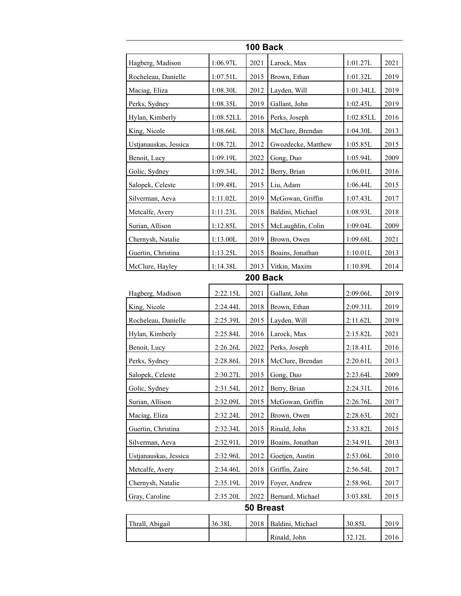| 100 Back              |           |           |                    |           |      |  |  |  |
|-----------------------|-----------|-----------|--------------------|-----------|------|--|--|--|
| Hagberg, Madison      | 1:06.97L  | 2021      | Larock, Max        | 1:01.27L  | 2021 |  |  |  |
| Rocheleau, Danielle   | 1:07.51L  | 2015      | Brown, Ethan       | 1:01.32L  | 2019 |  |  |  |
| Maciag, Eliza         | 1:08.30L  | 2012      | Layden, Will       | 1:01.34LL | 2019 |  |  |  |
| Perks, Sydney         | 1:08.35L  | 2019      | Gallant, John      | 1:02.45L  | 2019 |  |  |  |
| Hylan, Kimberly       | 1:08.52LL | 2016      | Perks, Joseph      | 1:02.85LL | 2016 |  |  |  |
| King, Nicole          | 1:08.66L  | 2018      | McClure, Brendan   | 1:04.30L  | 2013 |  |  |  |
| Ustjanauskas, Jessica | 1:08.72L  | 2012      | Gwozdecke, Matthew | 1:05.85L  | 2015 |  |  |  |
| Benoit, Lucy          | 1:09.19L  | 2022      | Gong, Duo          | 1:05.94L  | 2009 |  |  |  |
| Golic, Sydney         | 1:09.34L  | 2012      | Berry, Brian       | 1:06.01L  | 2016 |  |  |  |
| Salopek, Celeste      | 1:09.48L  | 2015      | Liu, Adam          | 1:06.44L  | 2015 |  |  |  |
| Silverman, Aeva       | 1:11.02L  | 2019      | McGowan, Griffin   | 1:07.43L  | 2017 |  |  |  |
| Metcalfe, Avery       | 1:11.23L  | 2018      | Baldini, Michael   | 1:08.93L  | 2018 |  |  |  |
| Surian, Allison       | 1:12.85L  | 2015      | McLaughlin, Colin  | 1:09.04L  | 2009 |  |  |  |
| Chernysh, Natalie     | 1:13.00L  | 2019      | Brown, Owen        | 1:09.68L  | 2021 |  |  |  |
| Guertin, Christina    | 1:13.25L  | 2015      | Boains, Jonathan   | 1:10.01L  | 2013 |  |  |  |
| McClure, Hayley       | 1:14.38L  | 2013      | Vitkin, Maxim      | 1:10.89L  | 2014 |  |  |  |
|                       |           | 200 Back  |                    |           |      |  |  |  |
| Hagberg, Madison      | 2:22.15L  | 2021      | Gallant, John      | 2:09.06L  | 2019 |  |  |  |
| King, Nicole          | 2:24.44L  | 2018      | Brown, Ethan       | 2:09.31L  | 2019 |  |  |  |
| Rocheleau, Danielle   | 2:25.39L  | 2015      | Layden, Will       | 2:11.62L  | 2019 |  |  |  |
| Hylan, Kimberly       | 2:25.84L  | 2016      | Larock, Max        | 2:15.82L  | 2021 |  |  |  |
| Benoit, Lucy          | 2:26.26L  | 2022      | Perks, Joseph      | 2:18.41L  | 2016 |  |  |  |
| Perks, Sydney         | 2:28.86L  | 2018      | McClure, Brendan   | 2:20.61L  | 2013 |  |  |  |
| Salopek, Celeste      | 2:30.27L  | 2015      | Gong, Duo          | 2:23.64L  | 2009 |  |  |  |
| Golic, Sydney         | 2:31.54L  | 2012      | Berry, Brian       | 2:24.31L  | 2016 |  |  |  |
| Surian, Allison       | 2:32.09L  | 2015      | McGowan, Griffin   | 2:26.76L  | 2017 |  |  |  |
| Maciag, Eliza         | 2:32.24L  | 2012      | Brown, Owen        | 2:28.63L  | 2021 |  |  |  |
| Guertin, Christina    | 2:32.34L  | 2015      | Rinald, John       | 2:33.82L  | 2015 |  |  |  |
| Silverman, Aeva       | 2:32.91L  | 2019      | Boains, Jonathan   | 2:34.91L  | 2013 |  |  |  |
| Ustjanauskas, Jessica | 2:32.96L  | 2012      | Goetjen, Austin    | 2:53.06L  | 2010 |  |  |  |
| Metcalfe, Avery       | 2:34.46L  | 2018      | Griffin, Zaire     | 2:56.54L  | 2017 |  |  |  |
| Chernysh, Natalie     | 2:35.19L  | 2019      | Foyer, Andrew      | 2:58.96L  | 2017 |  |  |  |
| Gray, Caroline        | 2:35.20L  | 2022      | Bernard, Michael   | 3:03.88L  | 2015 |  |  |  |
|                       |           | 50 Breast |                    |           |      |  |  |  |
| Thrall, Abigail       | 36.38L    | 2018      | Baldini, Michael   | 30.85L    | 2019 |  |  |  |
|                       |           |           | Rinald, John       | 32.12L    | 2016 |  |  |  |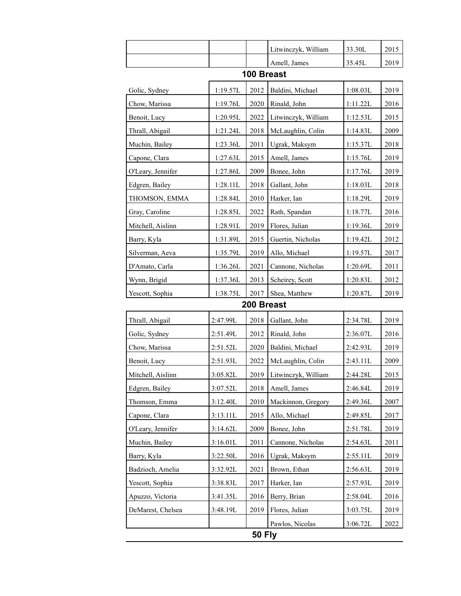|                   |          |               | Litwinczyk, William | 33.30L   | 2015 |  |  |  |  |
|-------------------|----------|---------------|---------------------|----------|------|--|--|--|--|
|                   |          |               | Amell, James        | 35.45L   | 2019 |  |  |  |  |
| 100 Breast        |          |               |                     |          |      |  |  |  |  |
| Golic, Sydney     | 1:19.57L | 2012          | Baldini, Michael    | 1:08.03L | 2019 |  |  |  |  |
| Chow, Marissa     | 1:19.76L | 2020          | Rinald, John        | 1:11.22L | 2016 |  |  |  |  |
| Benoit, Lucy      | 1:20.95L | 2022          | Litwinczyk, William | 1:12.53L | 2015 |  |  |  |  |
| Thrall, Abigail   | 1:21.24L | 2018          | McLaughlin, Colin   | 1:14.83L | 2009 |  |  |  |  |
| Muchin, Bailey    | 1:23.36L | 2011          | Ugrak, Maksym       | 1:15.37L | 2018 |  |  |  |  |
| Capone, Clara     | 1:27.63L | 2015          | Amell, James        | 1:15.76L | 2019 |  |  |  |  |
| O'Leary, Jennifer | 1:27.86L | 2009          | Bonee, John         | 1:17.76L | 2019 |  |  |  |  |
| Edgren, Bailey    | 1:28.11L | 2018          | Gallant, John       | 1:18.03L | 2018 |  |  |  |  |
| THOMSON, EMMA     | 1:28.84L | 2010          | Harker, Ian         | 1:18.29L | 2019 |  |  |  |  |
| Gray, Caroline    | 1:28.85L | 2022          | Rath, Spandan       | 1:18.77L | 2016 |  |  |  |  |
| Mitchell, Aislinn | 1:28.91L | 2019          | Flores, Julian      | 1:19.36L | 2019 |  |  |  |  |
| Barry, Kyla       | 1:31.89L | 2015          | Guertin, Nicholas   | 1:19.42L | 2012 |  |  |  |  |
| Silverman, Aeva   | 1:35.79L | 2019          | Allo, Michael       | 1:19.57L | 2017 |  |  |  |  |
| D'Amato, Carla    | 1:36.26L | 2021          | Cannone, Nicholas   | 1:20.69L | 2011 |  |  |  |  |
| Wynn, Brigid      | 1:37.36L | 2013          | Scheirey, Scott     | 1:20.83L | 2012 |  |  |  |  |
| Yescott, Sophia   | 1:38.75L | 2017          | Shea, Matthew       | 1:20.87L | 2019 |  |  |  |  |
|                   |          | 200 Breast    |                     |          |      |  |  |  |  |
| Thrall, Abigail   | 2:47.99L | 2018          | Gallant, John       | 2:34.78L | 2019 |  |  |  |  |
| Golic, Sydney     | 2:51.49L | 2012          | Rinald, John        | 2:36.07L | 2016 |  |  |  |  |
| Chow, Marissa     | 2:51.52L | 2020          | Baldini, Michael    | 2:42.93L | 2019 |  |  |  |  |
| Benoit, Lucy      | 2:51.93L | 2022          | McLaughlin, Colin   | 2:43.11L | 2009 |  |  |  |  |
| Mitchell, Aislinn | 3:05.82L | 2019          | Litwinczyk, William | 2:44.28L | 2015 |  |  |  |  |
| Edgren, Bailey    | 3:07.52L | 2018          | Amell, James        | 2:46.84L | 2019 |  |  |  |  |
| Thomson, Emma     | 3:12.40L | 2010          | Mackinnon, Gregory  | 2:49.36L | 2007 |  |  |  |  |
| Capone, Clara     | 3:13.11L | 2015          | Allo, Michael       | 2:49.85L | 2017 |  |  |  |  |
| O'Leary, Jennifer | 3:14.62L | 2009          | Bonee, John         | 2:51.78L | 2019 |  |  |  |  |
| Muchin, Bailey    | 3:16.01L | 2011          | Cannone, Nicholas   | 2:54.63L | 2011 |  |  |  |  |
| Barry, Kyla       | 3:22.50L | 2016          | Ugrak, Maksym       | 2:55.11L | 2019 |  |  |  |  |
| Badzioch, Amelia  | 3:32.92L | 2021          | Brown, Ethan        | 2:56.63L | 2019 |  |  |  |  |
| Yescott, Sophia   | 3:38.83L | 2017          | Harker, Ian         | 2:57.93L | 2019 |  |  |  |  |
| Apuzzo, Victoria  | 3:41.35L | 2016          | Berry, Brian        | 2:58.04L | 2016 |  |  |  |  |
| DeMarest, Chelsea | 3:48.19L | 2019          | Flores, Julian      | 3:03.75L | 2019 |  |  |  |  |
|                   |          |               | Pawlos, Nicolas     | 3:06.72L | 2022 |  |  |  |  |
|                   |          | <b>50 Fly</b> |                     |          |      |  |  |  |  |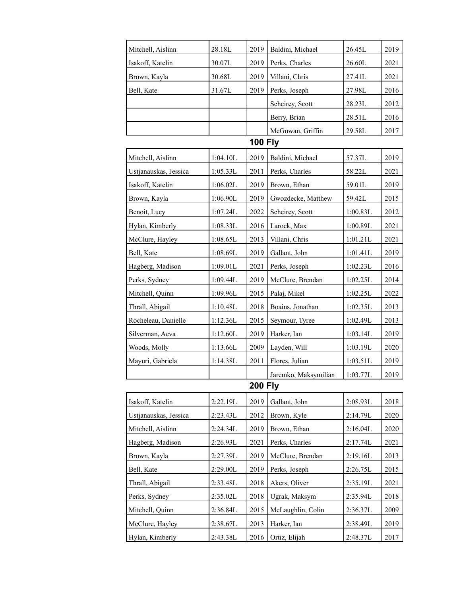| Mitchell, Aislinn     | 28.18L   | 2019           | Baldini, Michael     | 26.45L   | 2019 |
|-----------------------|----------|----------------|----------------------|----------|------|
| Isakoff, Katelin      | 30.07L   | 2019           | Perks, Charles       | 26.60L   | 2021 |
| Brown, Kayla          | 30.68L   | 2019           | Villani, Chris       | 27.41L   | 2021 |
| Bell, Kate            | 31.67L   | 2019           | Perks, Joseph        | 27.98L   | 2016 |
|                       |          |                | Scheirey, Scott      | 28.23L   | 2012 |
|                       |          |                | Berry, Brian         | 28.51L   | 2016 |
|                       |          |                | McGowan, Griffin     | 29.58L   | 2017 |
|                       |          | <b>100 Fly</b> |                      |          |      |
| Mitchell, Aislinn     | 1:04.10L | 2019           | Baldini, Michael     | 57.37L   | 2019 |
| Ustjanauskas, Jessica | 1:05.33L | 2011           | Perks, Charles       | 58.22L   | 2021 |
| Isakoff, Katelin      | 1:06.02L | 2019           | Brown, Ethan         | 59.01L   | 2019 |
| Brown, Kayla          | 1:06.90L | 2019           | Gwozdecke, Matthew   | 59.42L   | 2015 |
| Benoit, Lucy          | 1:07.24L | 2022           | Scheirey, Scott      | 1:00.83L | 2012 |
| Hylan, Kimberly       | 1:08.33L | 2016           | Larock, Max          | 1:00.89L | 2021 |
| McClure, Hayley       | 1:08.65L | 2013           | Villani, Chris       | 1:01.21L | 2021 |
| Bell, Kate            | 1:08.69L | 2019           | Gallant, John        | 1:01.41L | 2019 |
| Hagberg, Madison      | 1:09.01L | 2021           | Perks, Joseph        | 1:02.23L | 2016 |
| Perks, Sydney         | 1:09.44L | 2019           | McClure, Brendan     | 1:02.25L | 2014 |
| Mitchell, Quinn       | 1:09.96L | 2015           | Palaj, Mikel         | 1:02.25L | 2022 |
| Thrall, Abigail       | 1:10.48L | 2018           | Boains, Jonathan     | 1:02.35L | 2013 |
| Rocheleau, Danielle   | 1:12.36L | 2015           | Seymour, Tyree       | 1:02.49L | 2013 |
| Silverman, Aeva       | 1:12.60L | 2019           | Harker, Ian          | 1:03.14L | 2019 |
| Woods, Molly          | 1:13.66L | 2009           | Layden, Will         | 1:03.19L | 2020 |
| Mayuri, Gabriela      | 1:14.38L | 2011           | Flores, Julian       | 1:03.51L | 2019 |
|                       |          |                | Jaremko. Maksymilian | 1:03.77L | 2019 |
|                       |          | <b>200 Fly</b> |                      |          |      |
| Isakoff, Katelin      | 2:22.19L | 2019           | Gallant, John        | 2:08.93L | 2018 |
| Ustjanauskas, Jessica | 2:23.43L | 2012           | Brown, Kyle          | 2:14.79L | 2020 |
| Mitchell, Aislinn     | 2:24.34L | 2019           | Brown, Ethan         | 2:16.04L | 2020 |
| Hagberg, Madison      | 2:26.93L | 2021           | Perks, Charles       | 2:17.74L | 2021 |
| Brown, Kayla          | 2:27.39L | 2019           | McClure, Brendan     | 2:19.16L | 2013 |
| Bell, Kate            | 2:29.00L | 2019           | Perks, Joseph        | 2:26.75L | 2015 |
| Thrall, Abigail       | 2:33.48L | 2018           | Akers, Oliver        | 2:35.19L | 2021 |
| Perks, Sydney         | 2:35.02L | 2018           | Ugrak, Maksym        | 2:35.94L | 2018 |
| Mitchell, Quinn       | 2:36.84L | 2015           | McLaughlin, Colin    | 2:36.37L | 2009 |
| McClure, Hayley       | 2:38.67L | 2013           | Harker, Ian          | 2:38.49L | 2019 |
| Hylan, Kimberly       | 2:43.38L | 2016           | Ortiz, Elijah        | 2:48.37L | 2017 |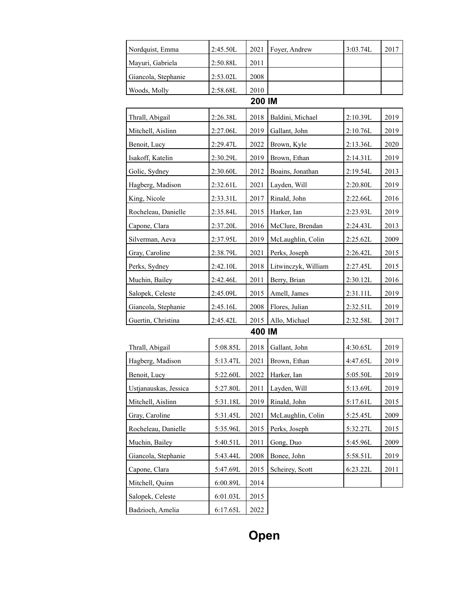| Nordquist, Emma       | 2:45.50L | 2021   | Foyer, Andrew       | 3:03.74L | 2017 |  |  |  |  |  |
|-----------------------|----------|--------|---------------------|----------|------|--|--|--|--|--|
| Mayuri, Gabriela      | 2:50.88L | 2011   |                     |          |      |  |  |  |  |  |
| Giancola, Stephanie   | 2:53.02L | 2008   |                     |          |      |  |  |  |  |  |
| Woods, Molly          | 2:58.68L | 2010   |                     |          |      |  |  |  |  |  |
| 200 IM                |          |        |                     |          |      |  |  |  |  |  |
| Thrall, Abigail       | 2:26.38L | 2018   | Baldini, Michael    | 2:10.39L | 2019 |  |  |  |  |  |
| Mitchell, Aislinn     | 2:27.06L | 2019   | Gallant, John       | 2:10.76L | 2019 |  |  |  |  |  |
| Benoit, Lucy          | 2:29.47L | 2022   | Brown, Kyle         | 2:13.36L | 2020 |  |  |  |  |  |
| Isakoff, Katelin      | 2:30.29L | 2019   | Brown, Ethan        | 2:14.31L | 2019 |  |  |  |  |  |
| Golic, Sydney         | 2:30.60L | 2012   | Boains, Jonathan    | 2:19.54L | 2013 |  |  |  |  |  |
| Hagberg, Madison      | 2:32.61L | 2021   | Layden, Will        | 2:20.80L | 2019 |  |  |  |  |  |
| King, Nicole          | 2:33.31L | 2017   | Rinald, John        | 2:22.66L | 2016 |  |  |  |  |  |
| Rocheleau, Danielle   | 2:35.84L | 2015   | Harker, Ian         | 2:23.93L | 2019 |  |  |  |  |  |
| Capone, Clara         | 2:37.20L | 2016   | McClure, Brendan    | 2:24.43L | 2013 |  |  |  |  |  |
| Silverman, Aeva       | 2:37.95L | 2019   | McLaughlin, Colin   | 2:25.62L | 2009 |  |  |  |  |  |
| Gray, Caroline        | 2:38.79L | 2021   | Perks, Joseph       | 2:26.42L | 2015 |  |  |  |  |  |
| Perks, Sydney         | 2:42.10L | 2018   | Litwinczyk, William | 2:27.45L | 2015 |  |  |  |  |  |
| Muchin, Bailey        | 2:42.46L | 2011   | Berry, Brian        | 2:30.12L | 2016 |  |  |  |  |  |
| Salopek, Celeste      | 2:45.09L | 2015   | Amell, James        | 2:31.11L | 2019 |  |  |  |  |  |
| Giancola, Stephanie   | 2:45.16L | 2008   | Flores, Julian      | 2:32.51L | 2019 |  |  |  |  |  |
| Guertin, Christina    | 2:45.42L | 2015   | Allo, Michael       | 2:32.58L | 2017 |  |  |  |  |  |
|                       |          | 400 IM |                     |          |      |  |  |  |  |  |
| Thrall, Abigail       | 5:08.85L | 2018   | Gallant, John       | 4:30.65L | 2019 |  |  |  |  |  |
| Hagberg, Madison      | 5:13.47L | 2021   | Brown, Ethan        | 4:47.65L | 2019 |  |  |  |  |  |
| Benoit, Lucy          | 5:22.60L |        | $2022$ Harker, Ian  | 5:05.50L | 2019 |  |  |  |  |  |
| Ustjanauskas, Jessica | 5:27.80L | 2011   | Layden, Will        | 5:13.69L | 2019 |  |  |  |  |  |
| Mitchell, Aislinn     | 5:31.18L | 2019   | Rinald, John        | 5:17.61L | 2015 |  |  |  |  |  |
| Gray, Caroline        | 5:31.45L | 2021   | McLaughlin, Colin   | 5:25.45L | 2009 |  |  |  |  |  |
| Rocheleau, Danielle   | 5:35.96L | 2015   | Perks, Joseph       | 5:32.27L | 2015 |  |  |  |  |  |
| Muchin, Bailey        | 5:40.51L | 2011   | Gong, Duo           | 5:45.96L | 2009 |  |  |  |  |  |
| Giancola, Stephanie   | 5:43.44L | 2008   | Bonee, John         | 5:58.51L | 2019 |  |  |  |  |  |
| Capone, Clara         | 5:47.69L | 2015   | Scheirey, Scott     | 6:23.22L | 2011 |  |  |  |  |  |
| Mitchell, Quinn       | 6:00.89L | 2014   |                     |          |      |  |  |  |  |  |
| Salopek, Celeste      | 6:01.03L | 2015   |                     |          |      |  |  |  |  |  |
| Badzioch, Amelia      | 6:17.65L | 2022   |                     |          |      |  |  |  |  |  |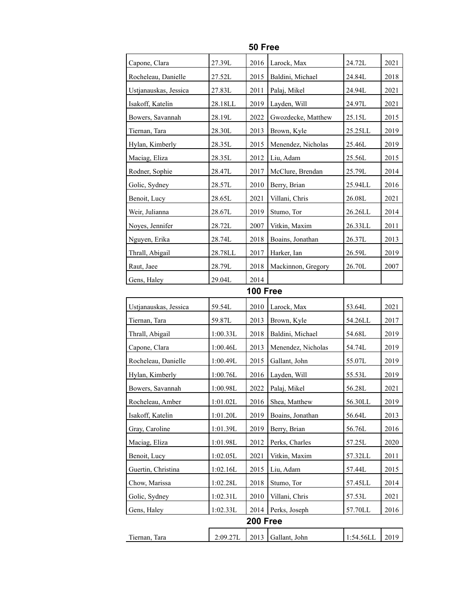| Capone, Clara         | 27.39L   | 2016            | Larock, Max        | 24.72L    | 2021 |
|-----------------------|----------|-----------------|--------------------|-----------|------|
| Rocheleau, Danielle   | 27.52L   | 2015            | Baldini, Michael   | 24.84L    | 2018 |
| Ustjanauskas, Jessica | 27.83L   | 2011            | Palaj, Mikel       | 24.94L    | 2021 |
| Isakoff, Katelin      | 28.18LL  | 2019            | Layden, Will       | 24.97L    | 2021 |
| Bowers, Savannah      | 28.19L   | 2022            | Gwozdecke, Matthew | 25.15L    | 2015 |
| Tiernan, Tara         | 28.30L   | 2013            | Brown, Kyle        | 25.25LL   | 2019 |
| Hylan, Kimberly       | 28.35L   | 2015            | Menendez, Nicholas | 25.46L    | 2019 |
| Maciag, Eliza         | 28.35L   | 2012            | Liu, Adam          | 25.56L    | 2015 |
| Rodner, Sophie        | 28.47L   | 2017            | McClure, Brendan   | 25.79L    | 2014 |
| Golic, Sydney         | 28.57L   | 2010            | Berry, Brian       | 25.94LL   | 2016 |
| Benoit, Lucy          | 28.65L   | 2021            | Villani, Chris     | 26.08L    | 2021 |
| Weir, Julianna        | 28.67L   | 2019            | Stumo, Tor         | 26.26LL   | 2014 |
| Noyes, Jennifer       | 28.72L   | 2007            | Vitkin, Maxim      | 26.33LL   | 2011 |
| Nguyen, Erika         | 28.74L   | 2018            | Boains, Jonathan   | 26.37L    | 2013 |
| Thrall, Abigail       | 28.78LL  | 2017            | Harker, Ian        | 26.59L    | 2019 |
| Raut, Jaee            | 28.79L   | 2018            | Mackinnon, Gregory | 26.70L    | 2007 |
| Gens, Haley           | 29.04L   | 2014            |                    |           |      |
|                       |          | <b>100 Free</b> |                    |           |      |
| Ustjanauskas, Jessica | 59.54L   | 2010            | Larock, Max        | 53.64L    | 2021 |
| Tiernan, Tara         | 59.87L   | 2013            | Brown, Kyle        | 54.26LL   | 2017 |
| Thrall, Abigail       | 1:00.33L | 2018            | Baldini, Michael   | 54.68L    | 2019 |
| Capone, Clara         | 1:00.46L | 2013            | Menendez, Nicholas | 54.74L    | 2019 |
| Rocheleau, Danielle   | 1:00.49L | 2015            | Gallant, John      | 55.07L    | 2019 |
| Hylan, Kimberly       | 1:00.76L | 2016            | Layden, Will       | 55.53L    | 2019 |
| Bowers, Savannah      | 1:00.98L | 2022            | Palaj, Mikel       | 56.28L    | 2021 |
| Rocheleau, Amber      | 1:01.02L | 2016            | Shea, Matthew      | 56.30LL   | 2019 |
| Isakoff, Katelin      | 1:01.20L | 2019            | Boains, Jonathan   | 56.64L    | 2013 |
| Gray, Caroline        | 1:01.39L | 2019            | Berry, Brian       | 56.76L    | 2016 |
| Maciag, Eliza         | 1:01.98L | 2012            | Perks, Charles     | 57.25L    | 2020 |
| Benoit, Lucy          | 1:02.05L | 2021            | Vitkin, Maxim      | 57.32LL   | 2011 |
| Guertin, Christina    | 1:02.16L | 2015            | Liu, Adam          | 57.44L    | 2015 |
| Chow, Marissa         | 1:02.28L | 2018            | Stumo, Tor         | 57.45LL   | 2014 |
| Golic, Sydney         | 1:02.31L | 2010            | Villani, Chris     | 57.53L    | 2021 |
| Gens, Haley           | 1:02.33L | 2014            | Perks, Joseph      | 57.70LL   | 2016 |
|                       |          | <b>200 Free</b> |                    |           |      |
| Tiernan, Tara         | 2:09.27L | 2013            | Gallant, John      | 1:54.56LL | 2019 |

**50 Free**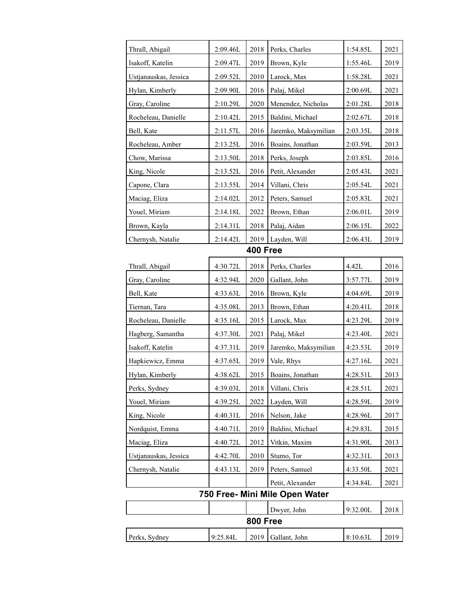| Thrall, Abigail       | 2:09.46L | 2018            | Perks, Charles                 | 1:54.85L | 2021 |
|-----------------------|----------|-----------------|--------------------------------|----------|------|
| Isakoff, Katelin      | 2:09.47L | 2019            | Brown, Kyle                    | 1:55.46L | 2019 |
| Ustjanauskas, Jessica | 2:09.52L | 2010            | Larock, Max                    | 1:58.28L | 2021 |
| Hylan, Kimberly       | 2:09.90L | 2016            | Palaj, Mikel                   | 2:00.69L | 2021 |
| Gray, Caroline        | 2:10.29L | 2020            | Menendez, Nicholas             | 2:01.28L | 2018 |
| Rocheleau, Danielle   | 2:10.42L | 2015            | Baldini, Michael               | 2:02.67L | 2018 |
| Bell, Kate            | 2:11.57L | 2016            | Jaremko, Maksymilian           | 2:03.35L | 2018 |
| Rocheleau, Amber      | 2:13.25L | 2016            | Boains, Jonathan               | 2:03.59L | 2013 |
| Chow, Marissa         | 2:13.50L | 2018            | Perks, Joseph                  | 2:03.85L | 2016 |
| King, Nicole          | 2:13.52L | 2016            | Petit, Alexander               | 2:05.43L | 2021 |
| Capone, Clara         | 2:13.55L | 2014            | Villani, Chris                 | 2:05.54L | 2021 |
| Maciag, Eliza         | 2:14.02L | 2012            | Peters, Samuel                 | 2:05.83L | 2021 |
| Youel, Miriam         | 2:14.18L | 2022            | Brown, Ethan                   | 2:06.01L | 2019 |
| Brown, Kayla          | 2:14.31L | 2018            | Palaj, Aidan                   | 2:06.15L | 2022 |
| Chernysh, Natalie     | 2:14.42L | 2019            | Layden, Will                   | 2:06.43L | 2019 |
|                       |          | <b>400 Free</b> |                                |          |      |
| Thrall, Abigail       | 4:30.72L | 2018            | Perks, Charles                 | 4.42L    | 2016 |
| Gray, Caroline        | 4:32.94L | 2020            | Gallant, John                  | 3:57.77L | 2019 |
| Bell, Kate            | 4:33.63L | 2016            | Brown, Kyle                    | 4:04.69L | 2019 |
| Tiernan, Tara         | 4:35.08L | 2013            | Brown, Ethan                   | 4:20.41L | 2018 |
| Rocheleau, Danielle   | 4:35.16L | 2015            | Larock, Max                    | 4:23.29L | 2019 |
| Hagberg, Samantha     | 4:37.30L | 2021            | Palaj, Mikel                   | 4:23.40L | 2021 |
| Isakoff, Katelin      | 4:37.31L | 2019            | Jaremko, Maksymilian           | 4:23.53L | 2019 |
| Hapkiewicz, Emma      | 4:37.65L | 2019            | Vale, Rhys                     | 4:27.16L | 2021 |
| Hylan, Kimberly       | 4:38.62L |                 | 2015   Boains, Jonathan        | 4:28.51L | 2013 |
| Perks, Sydney         | 4:39.03L | 2018            | Villani, Chris                 | 4:28.51L | 2021 |
| Youel, Miriam         | 4:39.25L | 2022            | Layden, Will                   | 4:28.59L | 2019 |
| King, Nicole          | 4:40.31L | 2016            | Nelson, Jake                   | 4:28.96L | 2017 |
| Nordquist, Emma       | 4:40.71L | 2019            | Baldini, Michael               | 4:29.83L | 2015 |
| Maciag, Eliza         | 4:40.72L | 2012            | Vitkin, Maxim                  | 4:31.90L | 2013 |
| Ustjanauskas, Jessica | 4:42.70L | 2010            | Stumo, Tor                     | 4:32.31L | 2013 |
| Chernysh, Natalie     | 4:43.13L | 2019            | Peters, Samuel                 | 4:33.50L | 2021 |
|                       |          |                 | Petit, Alexander               | 4:34.84L | 2021 |
|                       |          |                 | 750 Free- Mini Mile Open Water |          |      |
|                       |          |                 | Dwyer, John                    | 9:32.00L | 2018 |
|                       |          | <b>800 Free</b> |                                |          |      |
| Perks, Sydney         | 9:25.84L | 2019            | Gallant, John                  | 8:10.63L | 2019 |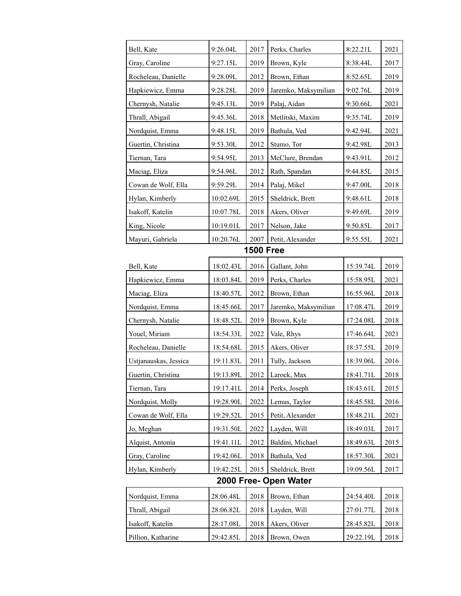| Bell, Kate            | 9:26.04L  | 2017             | Perks, Charles        | 8:22.21L  | 2021 |
|-----------------------|-----------|------------------|-----------------------|-----------|------|
| Gray, Caroline        | 9:27.15L  | 2019             | Brown, Kyle           | 8:38.44L  | 2017 |
| Rocheleau, Danielle   | 9:28.09L  | 2012             | Brown, Ethan          | 8:52.65L  | 2019 |
| Hapkiewicz, Emma      | 9:28.28L  | 2019             | Jaremko, Maksymilian  | 9:02.76L  | 2019 |
| Chernysh, Natalie     | 9:45.13L  | 2019             | Palaj, Aidan          | 9:30.66L  | 2021 |
| Thrall, Abigail       | 9:45.36L  | 2018             | Metlitski, Maxim      | 9:35.74L  | 2019 |
| Nordquist, Emma       | 9:48.15L  | 2019             | Bathula, Ved          | 9:42.94L  | 2021 |
| Guertin, Christina    | 9:53.30L  | 2012             | Stumo, Tor            | 9:42.98L  | 2013 |
| Tiernan, Tara         | 9:54.95L  | 2013             | McClure, Brendan      | 9:43.91L  | 2012 |
| Maciag, Eliza         | 9:54.96L  | 2012             | Rath, Spandan         | 9:44.85L  | 2015 |
| Cowan de Wolf, Ella   | 9:59.29L  | 2014             | Palaj, Mikel          | 9:47.00L  | 2018 |
| Hylan, Kimberly       | 10:02.69L | 2015             | Sheldrick, Brett      | 9:48.61L  | 2018 |
| Isakoff, Katelin      | 10:07.78L | 2018             | Akers, Oliver         | 9:49.69L  | 2019 |
| King, Nicole          | 10:19.01L | 2017             | Nelson, Jake          | 9:50.85L  | 2017 |
| Mayuri, Gabriela      | 10:20.76L | 2007             | Petit, Alexander      | 9:55.55L  | 2021 |
|                       |           | <b>1500 Free</b> |                       |           |      |
| Bell, Kate            | 18:02.43L | 2016             | Gallant, John         | 15:39.74L | 2019 |
| Hapkiewicz, Emma      | 18:03.84L | 2019             | Perks, Charles        | 15:58.95L | 2021 |
| Maciag, Eliza         | 18:40.57L | 2012             | Brown, Ethan          | 16:55.96L | 2018 |
| Nordquist, Emma       | 18:45.66L | 2017             | Jaremko, Maksymilian  | 17:08.47L | 2019 |
| Chernysh, Natalie     | 18:48.52L | 2019             | Brown, Kyle           | 17:24.08L | 2018 |
| Youel, Miriam         | 18:54.33L | 2022             | Vale, Rhys            | 17:46.64L | 2021 |
| Rocheleau, Danielle   | 18:54.68L | 2015             | Akers, Oliver         | 18:37.55L | 2019 |
| Ustjanauskas, Jessica | 19:11.83L | 2011             | Tully, Jackson        | 18:39.06L | 2016 |
| Guertin, Christina    | 19:13.89L | 2012             | Larock, Max           | 18:41.71L | 2018 |
| Tiernan, Tara         | 19:17.41L | 2014             | Perks, Joseph         | 18:43.61L | 2015 |
| Nordquist, Molly      | 19:28.90L | 2022             | Lemus, Taylor         | 18:45.58L | 2016 |
| Cowan de Wolf, Ella   | 19:29.52L | 2015             | Petit, Alexander      | 18:48.21L | 2021 |
| Jo, Meghan            | 19:31.50L | 2022             | Layden, Will          | 18:49.03L | 2017 |
| Alquist, Antonia      | 19:41.11L | 2012             | Baldini, Michael      | 18:49.63L | 2015 |
| Gray, Caroline        | 19:42.06L | 2018             | Bathula, Ved          | 18:57.30L | 2021 |
| Hylan, Kimberly       | 19:42.25L | 2015             | Sheldrick, Brett      | 19:09.56L | 2017 |
|                       |           |                  | 2000 Free- Open Water |           |      |
| Nordquist, Emma       | 28:06.48L | 2018             | Brown, Ethan          | 24:54.40L | 2018 |
| Thrall, Abigail       | 28:06.82L | 2018             | Layden, Will          | 27:01.77L | 2018 |
| Isakoff, Katelin      | 28:17.08L | 2018             | Akers, Oliver         | 28:45.82L | 2018 |
| Pillion, Katharine    | 29:42.85L | 2018             | Brown, Owen           | 29:22.19L | 2018 |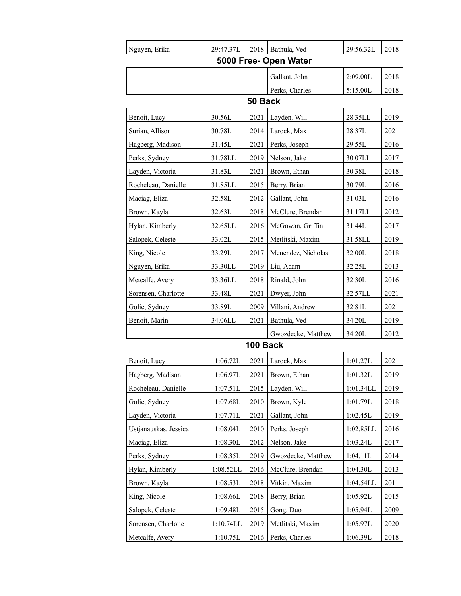| Nguyen, Erika         | 29:47.37L | 2018     | Bathula, Ved       | 29:56.32L | 2018 |  |  |  |  |
|-----------------------|-----------|----------|--------------------|-----------|------|--|--|--|--|
| 5000 Free- Open Water |           |          |                    |           |      |  |  |  |  |
|                       |           |          | Gallant, John      | 2:09.00L  | 2018 |  |  |  |  |
|                       |           |          | Perks, Charles     | 5:15.00L  | 2018 |  |  |  |  |
|                       |           | 50 Back  |                    |           |      |  |  |  |  |
| Benoit, Lucy          | 30.56L    | 2021     | Layden, Will       | 28.35LL   | 2019 |  |  |  |  |
| Surian, Allison       | 30.78L    | 2014     | Larock, Max        | 28.37L    | 2021 |  |  |  |  |
| Hagberg, Madison      | 31.45L    | 2021     | Perks, Joseph      | 29.55L    | 2016 |  |  |  |  |
| Perks, Sydney         | 31.78LL   | 2019     | Nelson, Jake       | 30.07LL   | 2017 |  |  |  |  |
| Layden, Victoria      | 31.83L    | 2021     | Brown, Ethan       | 30.38L    | 2018 |  |  |  |  |
| Rocheleau, Danielle   | 31.85LL   | 2015     | Berry, Brian       | 30.79L    | 2016 |  |  |  |  |
| Maciag, Eliza         | 32.58L    | 2012     | Gallant, John      | 31.03L    | 2016 |  |  |  |  |
| Brown, Kayla          | 32.63L    | 2018     | McClure, Brendan   | 31.17LL   | 2012 |  |  |  |  |
| Hylan, Kimberly       | 32.65LL   | 2016     | McGowan, Griffin   | 31.44L    | 2017 |  |  |  |  |
| Salopek, Celeste      | 33.02L    | 2015     | Metlitski, Maxim   | 31.58LL   | 2019 |  |  |  |  |
| King, Nicole          | 33.29L    | 2017     | Menendez, Nicholas | 32.00L    | 2018 |  |  |  |  |
| Nguyen, Erika         | 33.30LL   | 2019     | Liu, Adam          | 32.25L    | 2013 |  |  |  |  |
| Metcalfe, Avery       | 33.36LL   | 2018     | Rinald, John       | 32.30L    | 2016 |  |  |  |  |
| Sorensen, Charlotte   | 33.48L    | 2021     | Dwyer, John        | 32.57LL   | 2021 |  |  |  |  |
| Golic, Sydney         | 33.89L    | 2009     | Villani, Andrew    | 32.81L    | 2021 |  |  |  |  |
| Benoit, Marin         | 34.06LL   | 2021     | Bathula, Ved       | 34.20L    | 2019 |  |  |  |  |
|                       |           |          | Gwozdecke, Matthew | 34.20L    | 2012 |  |  |  |  |
|                       |           | 100 Back |                    |           |      |  |  |  |  |
| Benoit, Lucy          | 1:06.72L  | 2021     | Larock, Max        | 1:01.27L  | 2021 |  |  |  |  |
| Hagberg, Madison      | 1:06.97L  | 2021     | Brown, Ethan       | 1:01.32L  | 2019 |  |  |  |  |
| Rocheleau, Danielle   | 1:07.51L  | 2015     | Layden, Will       | 1:01.34LL | 2019 |  |  |  |  |
| Golic, Sydney         | 1:07.68L  | 2010     | Brown, Kyle        | 1:01.79L  | 2018 |  |  |  |  |
| Layden, Victoria      | 1:07.71L  | 2021     | Gallant, John      | 1:02.45L  | 2019 |  |  |  |  |
| Ustjanauskas, Jessica | 1:08.04L  | 2010     | Perks, Joseph      | 1:02.85LL | 2016 |  |  |  |  |
| Maciag, Eliza         | 1:08.30L  | 2012     | Nelson, Jake       | 1:03.24L  | 2017 |  |  |  |  |
| Perks, Sydney         | 1:08.35L  | 2019     | Gwozdecke, Matthew | 1:04.11L  | 2014 |  |  |  |  |
| Hylan, Kimberly       | 1:08.52LL | 2016     | McClure, Brendan   | 1:04.30L  | 2013 |  |  |  |  |
| Brown, Kayla          | 1:08.53L  | 2018     | Vitkin, Maxim      | 1:04.54LL | 2011 |  |  |  |  |
| King, Nicole          | 1:08.66L  | 2018     | Berry, Brian       | 1:05.92L  | 2015 |  |  |  |  |
| Salopek, Celeste      | 1:09.48L  | 2015     | Gong, Duo          | 1:05.94L  | 2009 |  |  |  |  |
| Sorensen, Charlotte   | 1:10.74LL | 2019     | Metlitski, Maxim   | 1:05.97L  | 2020 |  |  |  |  |
| Metcalfe, Avery       | 1:10.75L  | 2016     | Perks, Charles     | 1:06.39L  | 2018 |  |  |  |  |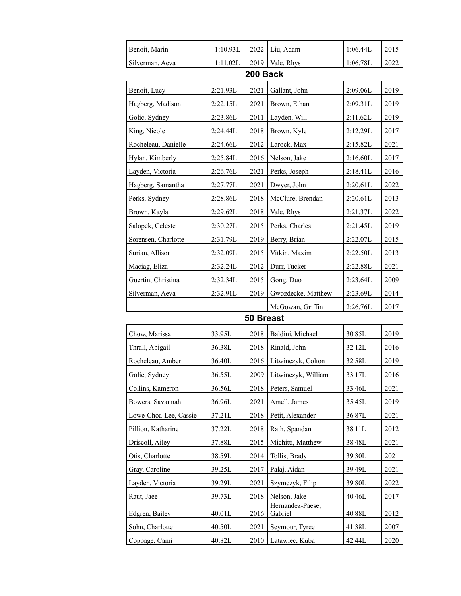| Benoit, Marin         | 1:10.93L | 2022      | Liu, Adam                   | 1:06.44L | 2015 |  |  |  |  |  |
|-----------------------|----------|-----------|-----------------------------|----------|------|--|--|--|--|--|
| Silverman, Aeva       | 1:11.02L | 2019      | Vale, Rhys                  | 1:06.78L | 2022 |  |  |  |  |  |
| 200 Back              |          |           |                             |          |      |  |  |  |  |  |
| Benoit, Lucy          | 2:21.93L | 2021      | Gallant, John               | 2:09.06L | 2019 |  |  |  |  |  |
| Hagberg, Madison      | 2:22.15L | 2021      | Brown, Ethan                | 2:09.31L | 2019 |  |  |  |  |  |
| Golic, Sydney         | 2:23.86L | 2011      | Layden, Will                | 2:11.62L | 2019 |  |  |  |  |  |
| King, Nicole          | 2:24.44L | 2018      | Brown, Kyle                 | 2:12.29L | 2017 |  |  |  |  |  |
| Rocheleau, Danielle   | 2:24.66L | 2012      | Larock, Max                 | 2:15.82L | 2021 |  |  |  |  |  |
| Hylan, Kimberly       | 2:25.84L | 2016      | Nelson, Jake                | 2:16.60L | 2017 |  |  |  |  |  |
| Layden, Victoria      | 2:26.76L | 2021      | Perks, Joseph               | 2:18.41L | 2016 |  |  |  |  |  |
| Hagberg, Samantha     | 2:27.77L | 2021      | Dwyer, John                 | 2:20.61L | 2022 |  |  |  |  |  |
| Perks, Sydney         | 2:28.86L | 2018      | McClure, Brendan            | 2:20.61L | 2013 |  |  |  |  |  |
| Brown, Kayla          | 2:29.62L | 2018      | Vale, Rhys                  | 2:21.37L | 2022 |  |  |  |  |  |
| Salopek, Celeste      | 2:30.27L | 2015      | Perks, Charles              | 2:21.45L | 2019 |  |  |  |  |  |
| Sorensen, Charlotte   | 2:31.79L | 2019      | Berry, Brian                | 2:22.07L | 2015 |  |  |  |  |  |
| Surian, Allison       | 2:32.09L | 2015      | Vitkin, Maxim               | 2:22.50L | 2013 |  |  |  |  |  |
| Maciag, Eliza         | 2:32.24L | 2012      | Durr, Tucker                | 2:22.88L | 2021 |  |  |  |  |  |
| Guertin, Christina    | 2:32.34L | 2015      | Gong, Duo                   | 2:23.64L | 2009 |  |  |  |  |  |
| Silverman, Aeva       | 2:32.91L | 2019      | Gwozdecke, Matthew          | 2:23.69L | 2014 |  |  |  |  |  |
|                       |          |           | McGowan, Griffin            | 2:26.76L | 2017 |  |  |  |  |  |
|                       |          | 50 Breast |                             |          |      |  |  |  |  |  |
| Chow, Marissa         | 33.95L   | 2018      | Baldini, Michael            | 30.85L   | 2019 |  |  |  |  |  |
| Thrall, Abigail       | 36.38L   | 2018      | Rinald, John                | 32.12L   | 2016 |  |  |  |  |  |
| Rocheleau, Amber      | 36.40L   | 2016      | Litwinczyk, Colton          | 32.58L   | 2019 |  |  |  |  |  |
| Golic, Sydney         | 36.55L   | 2009      | Litwinczyk, William         | 33.17L   | 2016 |  |  |  |  |  |
| Collins, Kameron      | 36.56L   | 2018      | Peters, Samuel              | 33.46L   | 2021 |  |  |  |  |  |
| Bowers, Savannah      | 36.96L   | 2021      | Amell, James                | 35.45L   | 2019 |  |  |  |  |  |
| Lowe-Choa-Lee, Cassie | 37.21L   | 2018      | Petit, Alexander            | 36.87L   | 2021 |  |  |  |  |  |
| Pillion, Katharine    | 37.22L   | 2018      | Rath, Spandan               | 38.11L   | 2012 |  |  |  |  |  |
| Driscoll, Ailey       | 37.88L   | 2015      | Michitti, Matthew           | 38.48L   | 2021 |  |  |  |  |  |
| Otis, Charlotte       | 38.59L   | 2014      | Tollis, Brady               | 39.30L   | 2021 |  |  |  |  |  |
| Gray, Caroline        | 39.25L   | 2017      | Palaj, Aidan                | 39.49L   | 2021 |  |  |  |  |  |
| Layden, Victoria      | 39.29L   | 2021      | Szymczyk, Filip             | 39.80L   | 2022 |  |  |  |  |  |
| Raut, Jaee            | 39.73L   | 2018      | Nelson, Jake                | 40.46L   | 2017 |  |  |  |  |  |
| Edgren, Bailey        | 40.01L   | 2016      | Hernandez-Paese,<br>Gabriel | 40.88L   | 2012 |  |  |  |  |  |
| Sohn, Charlotte       | 40.50L   | 2021      | Seymour, Tyree              | 41.38L   | 2007 |  |  |  |  |  |
| Coppage, Cami         | 40.82L   | 2010      | Latawiec, Kuba              | 42.44L   | 2020 |  |  |  |  |  |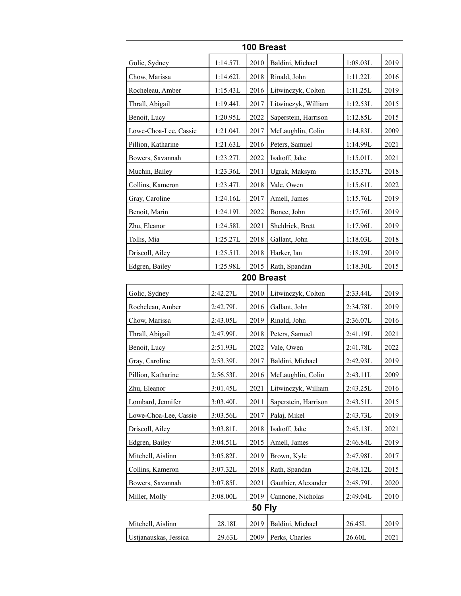|                       | 100 Breast |      |                      |          |      |  |
|-----------------------|------------|------|----------------------|----------|------|--|
| Golic, Sydney         | 1:14.57L   | 2010 | Baldini, Michael     | 1:08.03L | 2019 |  |
| Chow, Marissa         | 1:14.62L   | 2018 | Rinald, John         | 1:11.22L | 2016 |  |
| Rocheleau, Amber      | 1:15.43L   | 2016 | Litwinczyk, Colton   | 1:11.25L | 2019 |  |
| Thrall, Abigail       | 1:19.44L   | 2017 | Litwinczyk, William  | 1:12.53L | 2015 |  |
| Benoit, Lucy          | 1:20.95L   | 2022 | Saperstein, Harrison | 1:12.85L | 2015 |  |
| Lowe-Choa-Lee, Cassie | 1:21.04L   | 2017 | McLaughlin, Colin    | 1:14.83L | 2009 |  |
| Pillion, Katharine    | 1:21.63L   | 2016 | Peters, Samuel       | 1:14.99L | 2021 |  |
| Bowers, Savannah      | 1:23.27L   | 2022 | Isakoff, Jake        | 1:15.01L | 2021 |  |
| Muchin, Bailey        | 1:23.36L   | 2011 | Ugrak, Maksym        | 1:15.37L | 2018 |  |
| Collins, Kameron      | 1:23.47L   | 2018 | Vale, Owen           | 1:15.61L | 2022 |  |
| Gray, Caroline        | 1:24.16L   | 2017 | Amell, James         | 1:15.76L | 2019 |  |
| Benoit, Marin         | 1:24.19L   | 2022 | Bonee, John          | 1:17.76L | 2019 |  |
| Zhu, Eleanor          | 1:24.58L   | 2021 | Sheldrick, Brett     | 1:17.96L | 2019 |  |
| Tollis, Mia           | 1:25.27L   | 2018 | Gallant, John        | 1:18.03L | 2018 |  |
| Driscoll, Ailey       | 1:25.51L   | 2018 | Harker, Ian          | 1:18.29L | 2019 |  |
| Edgren, Bailey        | 1:25.98L   | 2015 | Rath, Spandan        | 1:18.30L | 2015 |  |
| 200 Breast            |            |      |                      |          |      |  |
| Golic, Sydney         | 2:42.27L   | 2010 | Litwinczyk, Colton   | 2:33.44L | 2019 |  |
| Rocheleau, Amber      | 2:42.79L   | 2016 | Gallant, John        | 2:34.78L | 2019 |  |
| Chow, Marissa         | 2:43.05L   | 2019 | Rinald, John         | 2:36.07L | 2016 |  |
| Thrall, Abigail       | 2:47.99L   | 2018 | Peters, Samuel       | 2:41.19L | 2021 |  |
| Benoit, Lucy          | 2:51.93L   | 2022 | Vale, Owen           | 2:41.78L | 2022 |  |
| Gray, Caroline        | 2:53.39L   | 2017 | Baldini, Michael     | 2:42.93L | 2019 |  |
| Pillion, Katharine    | 2:56.53L   | 2016 | McLaughlin, Colin    | 2:43.11L | 2009 |  |
| Zhu, Eleanor          | 3:01.45L   | 2021 | Litwinczyk, William  | 2:43.25L | 2016 |  |
| Lombard, Jennifer     | 3:03.40L   | 2011 | Saperstein, Harrison | 2:43.51L | 2015 |  |
| Lowe-Choa-Lee, Cassie | 3:03.56L   | 2017 | Palaj, Mikel         | 2:43.73L | 2019 |  |
| Driscoll, Ailey       | 3:03.81L   | 2018 | Isakoff, Jake        | 2:45.13L | 2021 |  |
| Edgren, Bailey        | 3:04.51L   | 2015 | Amell, James         | 2:46.84L | 2019 |  |
| Mitchell, Aislinn     | 3:05.82L   | 2019 | Brown, Kyle          | 2:47.98L | 2017 |  |
| Collins, Kameron      | 3:07.32L   | 2018 | Rath, Spandan        | 2:48.12L | 2015 |  |
| Bowers, Savannah      | 3:07.85L   | 2021 | Gauthier, Alexander  | 2:48.79L | 2020 |  |
| Miller, Molly         | 3:08.00L   | 2019 | Cannone, Nicholas    | 2:49.04L | 2010 |  |
| <b>50 Fly</b>         |            |      |                      |          |      |  |
| Mitchell, Aislinn     | 28.18L     | 2019 | Baldini, Michael     | 26.45L   | 2019 |  |
| Ustjanauskas, Jessica | 29.63L     | 2009 | Perks, Charles       | 26.60L   | 2021 |  |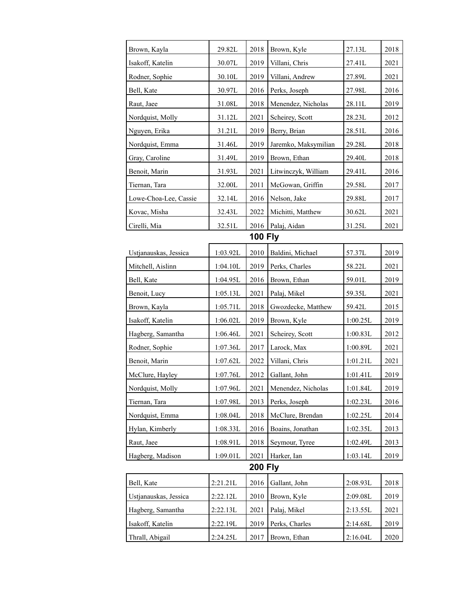| Brown, Kayla          | 29.82L   | 2018           | Brown, Kyle          | 27.13L   | 2018 |  |
|-----------------------|----------|----------------|----------------------|----------|------|--|
| Isakoff, Katelin      | 30.07L   | 2019           | Villani, Chris       | 27.41L   | 2021 |  |
| Rodner, Sophie        | 30.10L   | 2019           | Villani, Andrew      | 27.89L   | 2021 |  |
| Bell, Kate            | 30.97L   | 2016           | Perks, Joseph        | 27.98L   | 2016 |  |
| Raut, Jaee            | 31.08L   | 2018           | Menendez, Nicholas   | 28.11L   | 2019 |  |
| Nordquist, Molly      | 31.12L   | 2021           | Scheirey, Scott      | 28.23L   | 2012 |  |
| Nguyen, Erika         | 31.21L   | 2019           | Berry, Brian         | 28.51L   | 2016 |  |
| Nordquist, Emma       | 31.46L   | 2019           | Jaremko, Maksymilian | 29.28L   | 2018 |  |
| Gray, Caroline        | 31.49L   | 2019           | Brown, Ethan         | 29.40L   | 2018 |  |
| Benoit, Marin         | 31.93L   | 2021           | Litwinczyk, William  | 29.41L   | 2016 |  |
| Tiernan, Tara         | 32.00L   | 2011           | McGowan, Griffin     | 29.58L   | 2017 |  |
| Lowe-Choa-Lee, Cassie | 32.14L   | 2016           | Nelson, Jake         | 29.88L   | 2017 |  |
| Kovac, Misha          | 32.43L   | 2022           | Michitti, Matthew    | 30.62L   | 2021 |  |
| Cirelli, Mia          | 32.51L   | 2016           | Palaj, Aidan         | 31.25L   | 2021 |  |
| <b>100 Fly</b>        |          |                |                      |          |      |  |
| Ustjanauskas, Jessica | 1:03.92L | 2010           | Baldini, Michael     | 57.37L   | 2019 |  |
| Mitchell, Aislinn     | 1:04.10L | 2019           | Perks, Charles       | 58.22L   | 2021 |  |
| Bell, Kate            | 1:04.95L | 2016           | Brown, Ethan         | 59.01L   | 2019 |  |
| Benoit, Lucy          | 1:05.13L | 2021           | Palaj, Mikel         | 59.35L   | 2021 |  |
| Brown, Kayla          | 1:05.71L | 2018           | Gwozdecke, Matthew   | 59.42L   | 2015 |  |
| Isakoff, Katelin      | 1:06.02L | 2019           | Brown, Kyle          | 1:00.25L | 2019 |  |
| Hagberg, Samantha     | 1:06.46L | 2021           | Scheirey, Scott      | 1:00.83L | 2012 |  |
| Rodner, Sophie        | 1:07.36L | 2017           | Larock, Max          | 1:00.89L | 2021 |  |
| Benoit, Marin         | 1:07.62L | 2022           | Villani, Chris       | 1:01.21L | 2021 |  |
| McClure, Hayley       | 1:07.76L | 2012           | Gallant, John        | 1:01.41L | 2019 |  |
| Nordquist, Molly      | 1:07.96L | 2021           | Menendez, Nicholas   | 1:01.84L | 2019 |  |
| Tiernan, Tara         | 1:07.98L | 2013           | Perks, Joseph        | 1:02.23L | 2016 |  |
| Nordquist, Emma       | 1:08.04L | 2018           | McClure, Brendan     | 1:02.25L | 2014 |  |
| Hylan, Kimberly       | 1:08.33L | 2016           | Boains, Jonathan     | 1:02.35L | 2013 |  |
| Raut, Jaee            | 1:08.91L | 2018           | Seymour, Tyree       | 1:02.49L | 2013 |  |
| Hagberg, Madison      | 1:09.01L | 2021           | Harker, Ian          | 1:03.14L | 2019 |  |
|                       |          | <b>200 Fly</b> |                      |          |      |  |
| Bell, Kate            | 2:21.21L | 2016           | Gallant, John        | 2:08.93L | 2018 |  |
| Ustjanauskas, Jessica | 2:22.12L | 2010           | Brown, Kyle          | 2:09.08L | 2019 |  |
| Hagberg, Samantha     | 2:22.13L | 2021           | Palaj, Mikel         | 2:13.55L | 2021 |  |
| Isakoff, Katelin      | 2:22.19L | 2019           | Perks, Charles       | 2:14.68L | 2019 |  |
| Thrall, Abigail       | 2:24.25L | 2017           | Brown, Ethan         | 2:16.04L | 2020 |  |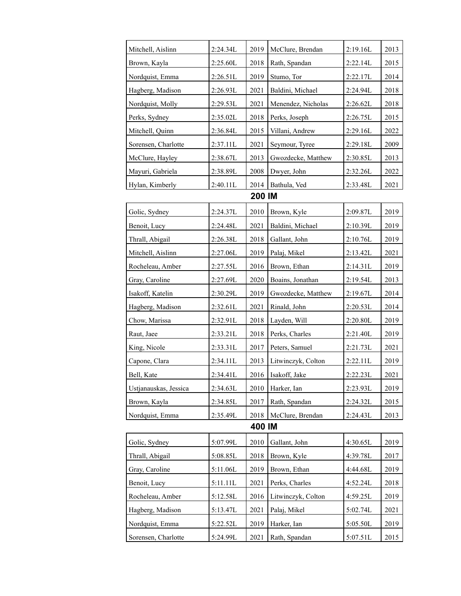| Mitchell, Aislinn     | 2:24.34L | 2019   | McClure, Brendan     | 2:19.16L | 2013 |
|-----------------------|----------|--------|----------------------|----------|------|
| Brown, Kayla          | 2:25.60L | 2018   | Rath, Spandan        | 2:22.14L | 2015 |
| Nordquist, Emma       | 2:26.51L | 2019   | Stumo, Tor           | 2:22.17L | 2014 |
| Hagberg, Madison      | 2:26.93L | 2021   | Baldini, Michael     | 2:24.94L | 2018 |
| Nordquist, Molly      | 2:29.53L | 2021   | Menendez, Nicholas   | 2:26.62L | 2018 |
| Perks, Sydney         | 2:35.02L | 2018   | Perks, Joseph        | 2:26.75L | 2015 |
| Mitchell, Quinn       | 2:36.84L | 2015   | Villani, Andrew      | 2:29.16L | 2022 |
| Sorensen, Charlotte   | 2:37.11L | 2021   | Seymour, Tyree       | 2:29.18L | 2009 |
| McClure, Hayley       | 2:38.67L | 2013   | Gwozdecke, Matthew   | 2:30.85L | 2013 |
| Mayuri, Gabriela      | 2:38.89L | 2008   | Dwyer, John          | 2:32.26L | 2022 |
| Hylan, Kimberly       | 2:40.11L | 2014   | Bathula, Ved         | 2:33.48L | 2021 |
|                       |          | 200 IM |                      |          |      |
| Golic, Sydney         | 2:24.37L | 2010   | Brown, Kyle          | 2:09.87L | 2019 |
| Benoit, Lucy          | 2:24.48L | 2021   | Baldini, Michael     | 2:10.39L | 2019 |
| Thrall, Abigail       | 2:26.38L | 2018   | Gallant, John        | 2:10.76L | 2019 |
| Mitchell, Aislinn     | 2:27.06L | 2019   | Palaj, Mikel         | 2:13.42L | 2021 |
| Rocheleau, Amber      | 2:27.55L | 2016   | Brown, Ethan         | 2:14.31L | 2019 |
| Gray, Caroline        | 2:27.69L | 2020   | Boains, Jonathan     | 2:19.54L | 2013 |
| Isakoff, Katelin      | 2:30.29L | 2019   | Gwozdecke, Matthew   | 2:19.67L | 2014 |
| Hagberg, Madison      | 2:32.61L | 2021   | Rinald, John         | 2:20.53L | 2014 |
| Chow, Marissa         | 2:32.91L | 2018   | Layden, Will         | 2:20.80L | 2019 |
| Raut, Jaee            | 2:33.21L | 2018   | Perks, Charles       | 2:21.40L | 2019 |
| King, Nicole          | 2:33.31L | 2017   | Peters, Samuel       | 2:21.73L | 2021 |
| Capone, Clara         | 2:34.11L | 2013   | Litwinczyk, Colton   | 2:22.11L | 2019 |
| Bell, Kate            | 2:34.41L |        | 2016   Isakoff, Jake | 2:22.23L | 2021 |
| Ustjanauskas, Jessica | 2:34.63L | 2010   | Harker, Ian          | 2:23.93L | 2019 |
| Brown, Kayla          | 2:34.85L | 2017   | Rath, Spandan        | 2:24.32L | 2015 |
| Nordquist, Emma       | 2:35.49L | 2018   | McClure, Brendan     | 2:24.43L | 2013 |
| 400 IM                |          |        |                      |          |      |
| Golic, Sydney         | 5:07.99L | 2010   | Gallant, John        | 4:30.65L | 2019 |
| Thrall, Abigail       | 5:08.85L | 2018   | Brown, Kyle          | 4:39.78L | 2017 |
| Gray, Caroline        | 5:11.06L | 2019   | Brown, Ethan         | 4:44.68L | 2019 |
| Benoit, Lucy          | 5:11.11L | 2021   | Perks, Charles       | 4:52.24L | 2018 |
| Rocheleau, Amber      | 5:12.58L | 2016   | Litwinczyk, Colton   | 4:59.25L | 2019 |
| Hagberg, Madison      | 5:13.47L | 2021   | Palaj, Mikel         | 5:02.74L | 2021 |
| Nordquist, Emma       | 5:22.52L | 2019   | Harker, Ian          | 5:05.50L | 2019 |
| Sorensen, Charlotte   | 5:24.99L | 2021   | Rath, Spandan        | 5:07.51L | 2015 |